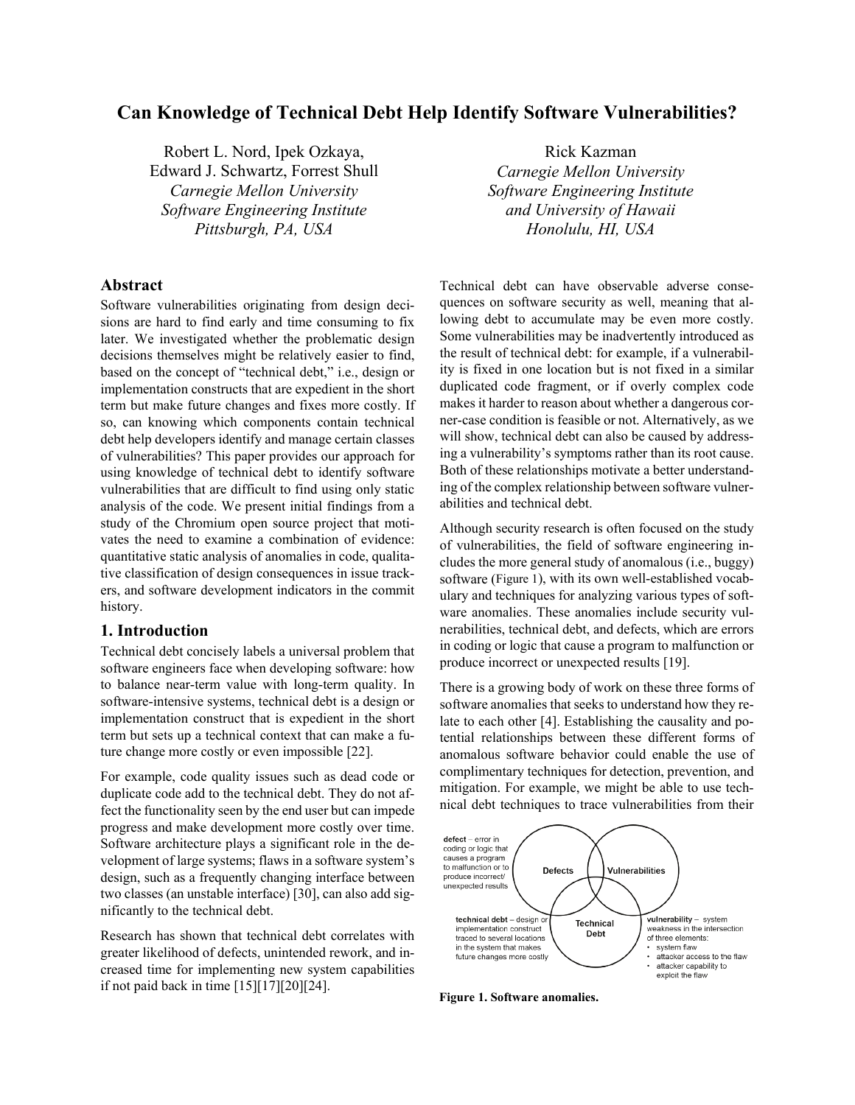# **Can Knowledge of Technical Debt Help Identify Software Vulnerabilities?**

Robert L. Nord, Ipek Ozkaya, Edward J. Schwartz, Forrest Shull *Carnegie Mellon University Software Engineering Institute Pittsburgh, PA, USA*

# **Abstract**

Software vulnerabilities originating from design decisions are hard to find early and time consuming to fix later. We investigated whether the problematic design decisions themselves might be relatively easier to find, based on the concept of "technical debt," i.e., design or implementation constructs that are expedient in the short term but make future changes and fixes more costly. If so, can knowing which components contain technical debt help developers identify and manage certain classes of vulnerabilities? This paper provides our approach for using knowledge of technical debt to identify software vulnerabilities that are difficult to find using only static analysis of the code. We present initial findings from a study of the Chromium open source project that motivates the need to examine a combination of evidence: quantitative static analysis of anomalies in code, qualitative classification of design consequences in issue trackers, and software development indicators in the commit history.

### **1. Introduction**

Technical debt concisely labels a universal problem that software engineers face when developing software: how to balance near-term value with long-term quality. In software-intensive systems, technical debt is a design or implementation construct that is expedient in the short term but sets up a technical context that can make a future change more costly or even impossible [\[22\].](#page-7-0)

For example, code quality issues such as dead code or duplicate code add to the technical debt. They do not affect the functionality seen by the end user but can impede progress and make development more costly over time. Software architecture plays a significant role in the development of large systems; flaws in a software system's design, such as a frequently changing interface between two classes (an unstable interface) [\[30\],](#page-7-1) can also add significantly to the technical debt.

Research has shown that technical debt correlates with greater likelihood of defects, unintended rework, and increased time for implementing new system capabilities if not paid back in tim[e \[15\]\[17\]](#page-7-2)[\[20\]\[24\].](#page-7-3)

Rick Kazman *Carnegie Mellon University Software Engineering Institute and University of Hawaii Honolulu, HI, USA*

Technical debt can have observable adverse consequences on software security as well, meaning that allowing debt to accumulate may be even more costly. Some vulnerabilities may be inadvertently introduced as the result of technical debt: for example, if a vulnerability is fixed in one location but is not fixed in a similar duplicated code fragment, or if overly complex code makes it harder to reason about whether a dangerous corner-case condition is feasible or not. Alternatively, as we will show, technical debt can also be caused by addressing a vulnerability's symptoms rather than its root cause. Both of these relationships motivate a better understanding of the complex relationship between software vulnerabilities and technical debt.

Although security research is often focused on the study of vulnerabilities, the field of software engineering includes the more general study of anomalous (i.e., buggy) software [\(Figure 1\)](#page-0-0), with its own well-established vocabulary and techniques for analyzing various types of software anomalies. These anomalies include security vulnerabilities, technical debt, and defects, which are errors in coding or logic that cause a program to malfunction or produce incorrect or unexpected results [\[19\].](#page-7-4)

There is a growing body of work on these three forms of software anomalies that seeks to understand how they relate to each other [4]. Establishing the causality and potential relationships between these different forms of anomalous software behavior could enable the use of complimentary techniques for detection, prevention, and mitigation. For example, we might be able to use technical debt techniques to trace vulnerabilities from their



<span id="page-0-0"></span>**Figure 21. Software anomalies.**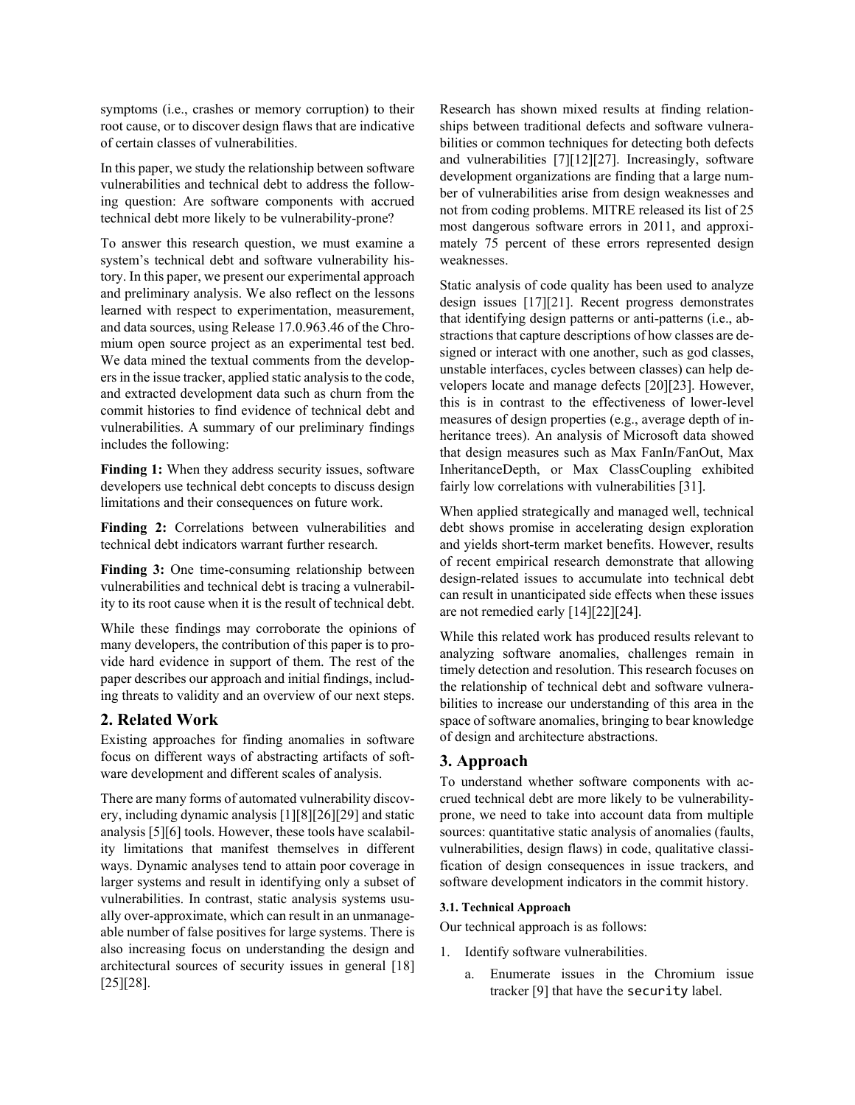symptoms (i.e., crashes or memory corruption) to their root cause, or to discover design flaws that are indicative of certain classes of vulnerabilities.

In this paper, we study the relationship between software vulnerabilities and technical debt to address the following question: Are software components with accrued technical debt more likely to be vulnerability-prone?

To answer this research question, we must examine a system's technical debt and software vulnerability history. In this paper, we present our experimental approach and preliminary analysis. We also reflect on the lessons learned with respect to experimentation, measurement, and data sources, using Release 17.0.963.46 of the Chromium open source project as an experimental test bed. We data mined the textual comments from the developers in the issue tracker, applied static analysis to the code, and extracted development data such as churn from the commit histories to find evidence of technical debt and vulnerabilities. A summary of our preliminary findings includes the following:

**Finding 1:** When they address security issues, software developers use technical debt concepts to discuss design limitations and their consequences on future work.

Finding 2: Correlations between vulnerabilities and technical debt indicators warrant further research.

**Finding 3:** One time-consuming relationship between vulnerabilities and technical debt is tracing a vulnerability to its root cause when it is the result of technical debt.

While these findings may corroborate the opinions of many developers, the contribution of this paper is to provide hard evidence in support of them. The rest of the paper describes our approach and initial findings, including threats to validity and an overview of our next steps.

## **2. Related Work**

Existing approaches for finding anomalies in software focus on different ways of abstracting artifacts of software development and different scales of analysis.

There are many forms of automated vulnerability discovery, including dynamic analysis [\[1\]\[8\]](#page-6-0)[\[26\]\[29\]](#page-7-5) and static analysis [5[\]\[6\]](#page-6-1) tools. However, these tools have scalability limitations that manifest themselves in different ways. Dynamic analyses tend to attain poor coverage in larger systems and result in identifying only a subset of vulnerabilities. In contrast, static analysis systems usually over-approximate, which can result in an unmanageable number of false positives for large systems. There is also increasing focus on understanding the design and architectural sources of security issues in general [18] [\[25\]](#page-7-6)[\[28\].](#page-7-7)

Research has shown mixed results at finding relationships between traditional defects and software vulnerabilities or common techniques for detecting both defects and vulnerabilities [\[7\]\[12\]](#page-7-8)[\[27\].](#page-7-9) Increasingly, software development organizations are finding that a large number of vulnerabilities arise from design weaknesses and not from coding problems. MITRE released its list of 25 most dangerous software errors in 2011, and approximately 75 percent of these errors represented design weaknesses.

Static analysis of code quality has been used to analyze design issues [\[17\]\[21\].](#page-7-10) Recent progress demonstrates that identifying design patterns or anti-patterns (i.e., abstractions that capture descriptions of how classes are designed or interact with one another, such as god classes, unstable interfaces, cycles between classes) can help developers locate and manage defects [\[20\]\[23\].](#page-7-3) However, this is in contrast to the effectiveness of lower-level measures of design properties (e.g., average depth of inheritance trees). An analysis of Microsoft data showed that design measures such as Max FanIn/FanOut, Max InheritanceDepth, or Max ClassCoupling exhibited fairly low correlations with vulnerabilities [\[31\].](#page-7-11)

When applied strategically and managed well, technical debt shows promise in accelerating design exploration and yields short-term market benefits. However, results of recent empirical research demonstrate that allowing design-related issues to accumulate into technical debt can result in unanticipated side effects when these issues are not remedied early [\[14\]\[22\]](#page-7-12)[\[24\].](#page-7-13)

While this related work has produced results relevant to analyzing software anomalies, challenges remain in timely detection and resolution. This research focuses on the relationship of technical debt and software vulnerabilities to increase our understanding of this area in the space of software anomalies, bringing to bear knowledge of design and architecture abstractions.

## **3. Approach**

To understand whether software components with accrued technical debt are more likely to be vulnerabilityprone, we need to take into account data from multiple sources: quantitative static analysis of anomalies (faults, vulnerabilities, design flaws) in code, qualitative classification of design consequences in issue trackers, and software development indicators in the commit history.

#### **3.1. Technical Approach**

Our technical approach is as follows:

- 1. Identify software vulnerabilities.
	- a. Enumerate issues in the Chromium issue tracker [\[9\]](#page-7-14) that have the security label.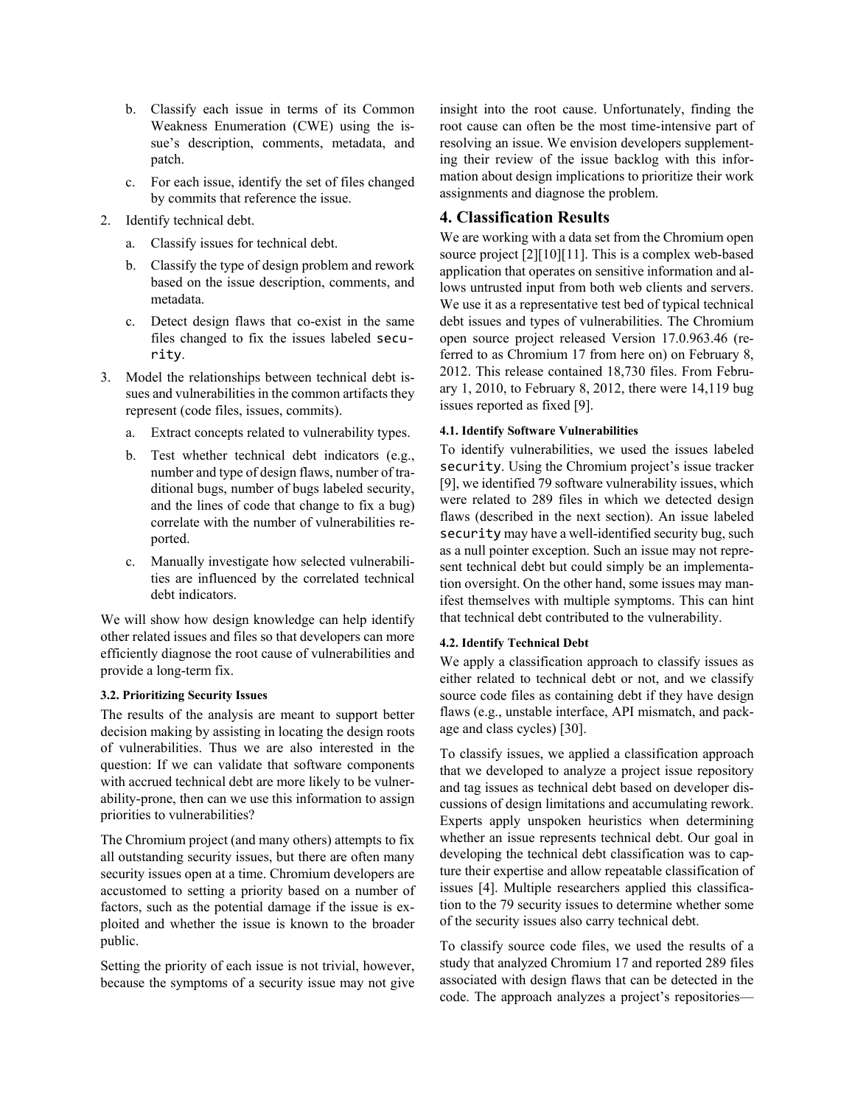- b. Classify each issue in terms of its Common Weakness Enumeration (CWE) using the issue's description, comments, metadata, and patch.
- c. For each issue, identify the set of files changed by commits that reference the issue.
- 2. Identify technical debt.
	- a. Classify issues for technical debt.
	- b. Classify the type of design problem and rework based on the issue description, comments, and metadata.
	- c. Detect design flaws that co-exist in the same files changed to fix the issues labeled security.
- 3. Model the relationships between technical debt issues and vulnerabilities in the common artifacts they represent (code files, issues, commits).
	- a. Extract concepts related to vulnerability types.
	- b. Test whether technical debt indicators (e.g., number and type of design flaws, number of traditional bugs, number of bugs labeled security, and the lines of code that change to fix a bug) correlate with the number of vulnerabilities reported.
	- c. Manually investigate how selected vulnerabilities are influenced by the correlated technical debt indicators.

We will show how design knowledge can help identify other related issues and files so that developers can more efficiently diagnose the root cause of vulnerabilities and provide a long-term fix.

#### **3.2. Prioritizing Security Issues**

The results of the analysis are meant to support better decision making by assisting in locating the design roots of vulnerabilities. Thus we are also interested in the question: If we can validate that software components with accrued technical debt are more likely to be vulnerability-prone, then can we use this information to assign priorities to vulnerabilities?

The Chromium project (and many others) attempts to fix all outstanding security issues, but there are often many security issues open at a time. Chromium developers are accustomed to setting a priority based on a number of factors, such as the potential damage if the issue is exploited and whether the issue is known to the broader public.

Setting the priority of each issue is not trivial, however, because the symptoms of a security issue may not give insight into the root cause. Unfortunately, finding the root cause can often be the most time-intensive part of resolving an issue. We envision developers supplementing their review of the issue backlog with this information about design implications to prioritize their work assignments and diagnose the problem.

## **4. Classification Results**

We are working with a data set from the Chromium open source project [\[2\]\[10\]](#page-6-2)[\[11\].](#page-7-15) This is a complex web-based application that operates on sensitive information and allows untrusted input from both web clients and servers. We use it as a representative test bed of typical technical debt issues and types of vulnerabilities. The Chromium open source project released Version 17.0.963.46 (referred to as Chromium 17 from here on) on February 8, 2012. This release contained 18,730 files. From February 1, 2010, to February 8, 2012, there were 14,119 bug issues reported as fixed [\[9\].](#page-7-14)

### **4.1. Identify Software Vulnerabilities**

To identify vulnerabilities, we used the issues labeled security. Using the Chromium project's issue tracker [\[9\],](#page-7-14) we identified 79 software vulnerability issues, which were related to 289 files in which we detected design flaws (described in the next section). An issue labeled security may have a well-identified security bug, such as a null pointer exception. Such an issue may not represent technical debt but could simply be an implementation oversight. On the other hand, some issues may manifest themselves with multiple symptoms. This can hint that technical debt contributed to the vulnerability.

## **4.2. Identify Technical Debt**

We apply a classification approach to classify issues as either related to technical debt or not, and we classify source code files as containing debt if they have design flaws (e.g., unstable interface, API mismatch, and package and class cycles) [\[30\].](#page-7-1)

To classify issues, we applied a classification approach that we developed to analyze a project issue repository and tag issues as technical debt based on developer discussions of design limitations and accumulating rework. Experts apply unspoken heuristics when determining whether an issue represents technical debt. Our goal in developing the technical debt classification was to capture their expertise and allow repeatable classification of issues [4]. Multiple researchers applied this classification to the 79 security issues to determine whether some of the security issues also carry technical debt.

To classify source code files, we used the results of a study that analyzed Chromium 17 and reported 289 files associated with design flaws that can be detected in the code. The approach analyzes a project's repositories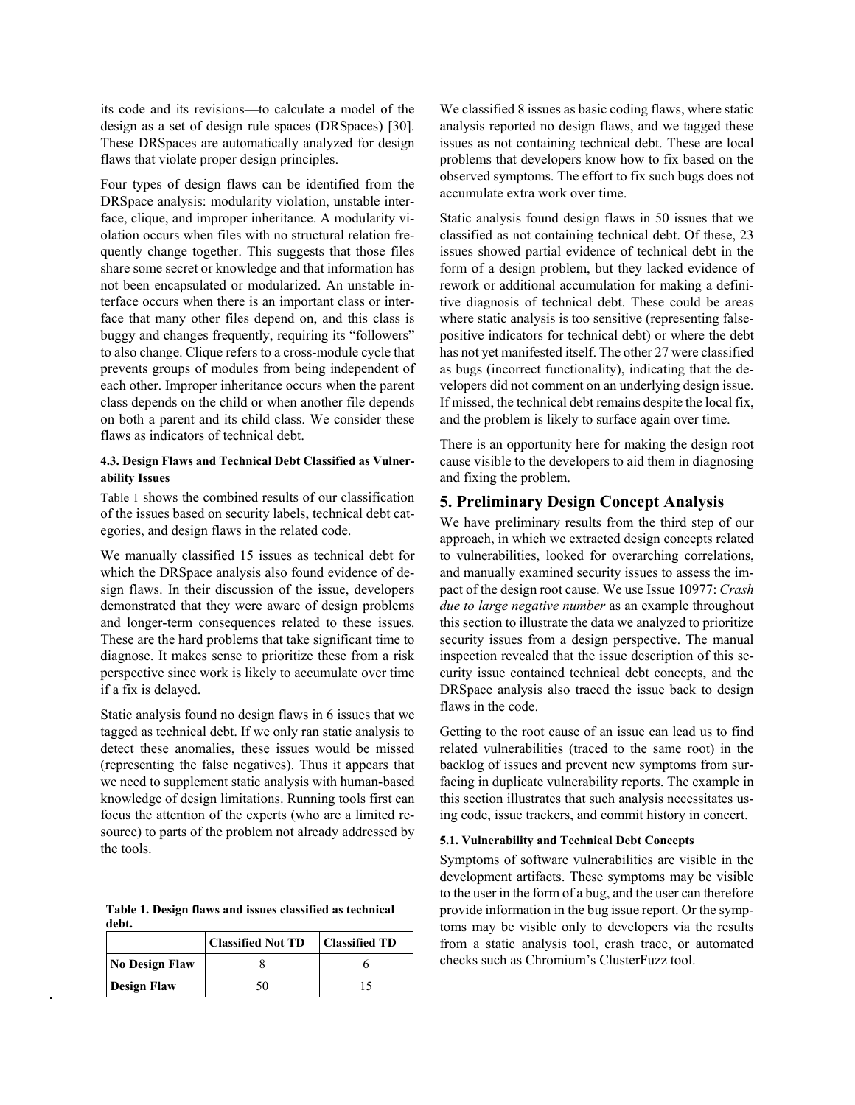its code and its revisions—to calculate a model of the design as a set of design rule spaces (DRSpaces) [\[30\].](#page-7-1) These DRSpaces are automatically analyzed for design flaws that violate proper design principles.

Four types of design flaws can be identified from the DRSpace analysis: modularity violation, unstable interface, clique, and improper inheritance. A modularity violation occurs when files with no structural relation frequently change together. This suggests that those files share some secret or knowledge and that information has not been encapsulated or modularized. An unstable interface occurs when there is an important class or interface that many other files depend on, and this class is buggy and changes frequently, requiring its "followers" to also change. Clique refers to a cross-module cycle that prevents groups of modules from being independent of each other. Improper inheritance occurs when the parent class depends on the child or when another file depends on both a parent and its child class. We consider these flaws as indicators of technical debt.

#### **4.3. Design Flaws and Technical Debt Classified as Vulnerability Issues**

[Table 1](#page-3-0) shows the combined results of our classification of the issues based on security labels, technical debt categories, and design flaws in the related code.

We manually classified 15 issues as technical debt for which the DRSpace analysis also found evidence of design flaws. In their discussion of the issue, developers demonstrated that they were aware of design problems and longer-term consequences related to these issues. These are the hard problems that take significant time to diagnose. It makes sense to prioritize these from a risk perspective since work is likely to accumulate over time if a fix is delayed.

Static analysis found no design flaws in 6 issues that we tagged as technical debt. If we only ran static analysis to detect these anomalies, these issues would be missed (representing the false negatives). Thus it appears that we need to supplement static analysis with human-based knowledge of design limitations. Running tools first can focus the attention of the experts (who are a limited resource) to parts of the problem not already addressed by the tools.

<span id="page-3-0"></span>**Table 1. Design flaws and issues classified as technical debt.**

|                       | <b>Classified Not TD</b> | <b>Classified TD</b> |  |
|-----------------------|--------------------------|----------------------|--|
| <b>No Design Flaw</b> |                          |                      |  |
| <b>Design Flaw</b>    | 50                       |                      |  |

We classified 8 issues as basic coding flaws, where static analysis reported no design flaws, and we tagged these issues as not containing technical debt. These are local problems that developers know how to fix based on the observed symptoms. The effort to fix such bugs does not accumulate extra work over time.

Static analysis found design flaws in 50 issues that we classified as not containing technical debt. Of these, 23 issues showed partial evidence of technical debt in the form of a design problem, but they lacked evidence of rework or additional accumulation for making a definitive diagnosis of technical debt. These could be areas where static analysis is too sensitive (representing falsepositive indicators for technical debt) or where the debt has not yet manifested itself. The other 27 were classified as bugs (incorrect functionality), indicating that the developers did not comment on an underlying design issue. If missed, the technical debt remains despite the local fix, and the problem is likely to surface again over time.

There is an opportunity here for making the design root cause visible to the developers to aid them in diagnosing and fixing the problem.

## **5. Preliminary Design Concept Analysis**

We have preliminary results from the third step of our approach, in which we extracted design concepts related to vulnerabilities, looked for overarching correlations, and manually examined security issues to assess the impact of the design root cause. We use Issue 10977: *Crash due to large negative number* as an example throughout this section to illustrate the data we analyzed to prioritize security issues from a design perspective. The manual inspection revealed that the issue description of this security issue contained technical debt concepts, and the DRSpace analysis also traced the issue back to design flaws in the code.

Getting to the root cause of an issue can lead us to find related vulnerabilities (traced to the same root) in the backlog of issues and prevent new symptoms from surfacing in duplicate vulnerability reports. The example in this section illustrates that such analysis necessitates using code, issue trackers, and commit history in concert.

#### **5.1. Vulnerability and Technical Debt Concepts**

Symptoms of software vulnerabilities are visible in the development artifacts. These symptoms may be visible to the user in the form of a bug, and the user can therefore provide information in the bug issue report. Or the symptoms may be visible only to developers via the results from a static analysis tool, crash trace, or automated checks such as Chromium's ClusterFuzz tool.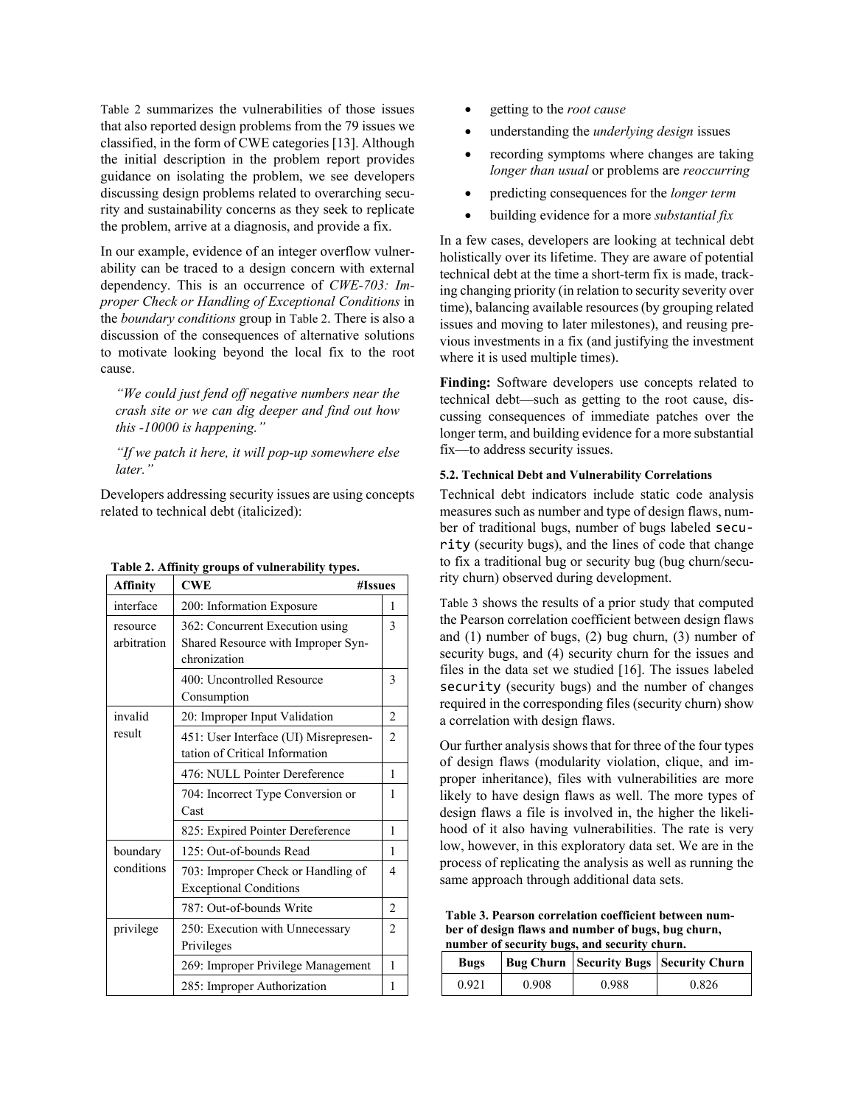[Table 2](#page-4-0) summarizes the vulnerabilities of those issues that also reported design problems from the 79 issues we classified, in the form of CWE categories [\[13\].](#page-7-16) Although the initial description in the problem report provides guidance on isolating the problem, we see developers discussing design problems related to overarching security and sustainability concerns as they seek to replicate the problem, arrive at a diagnosis, and provide a fix.

In our example, evidence of an integer overflow vulnerability can be traced to a design concern with external dependency. This is an occurrence of *CWE-703: Improper Check or Handling of Exceptional Conditions* in the *boundary conditions* group in [Table 2.](#page-4-0) There is also a discussion of the consequences of alternative solutions to motivate looking beyond the local fix to the root cause.

*"We could just fend off negative numbers near the crash site or we can dig deeper and find out how this -10000 is happening."*

*"If we patch it here, it will pop-up somewhere else later."*

Developers addressing security issues are using concepts related to technical debt (italicized):

| <b>Affinity</b>                    | <b>CWE</b>                                                                            | #Issues        |  |
|------------------------------------|---------------------------------------------------------------------------------------|----------------|--|
| interface                          | 200: Information Exposure                                                             | 1              |  |
| resource<br>arbitration            | 362: Concurrent Execution using<br>Shared Resource with Improper Syn-<br>chronization | $\mathcal{E}$  |  |
|                                    | 400: Uncontrolled Resource<br>Consumption                                             | 3              |  |
| invalid                            | 20: Improper Input Validation                                                         |                |  |
| result                             | 451: User Interface (UI) Misrepresen-<br>tation of Critical Information               | $\mathfrak{D}$ |  |
|                                    | 476: NULL Pointer Dereference                                                         | 1              |  |
|                                    | 704: Incorrect Type Conversion or<br>Cast                                             | 1              |  |
|                                    | 825: Expired Pointer Dereference                                                      | 1              |  |
| boundary                           | 125: Out-of-bounds Read                                                               |                |  |
| conditions                         | 703: Improper Check or Handling of<br><b>Exceptional Conditions</b>                   | 4              |  |
|                                    | 787: Out-of-bounds Write                                                              | $\mathfrak{D}$ |  |
| privilege                          | 250: Execution with Unnecessary<br>Privileges                                         | $\overline{c}$ |  |
| 269: Improper Privilege Management |                                                                                       | 1              |  |
|                                    | 285: Improper Authorization                                                           | 1              |  |

<span id="page-4-0"></span>**Table 2. Affinity groups of vulnerability types.**

- getting to the *root cause*
- understanding the *underlying design* issues
- recording symptoms where changes are taking *longer than usual* or problems are *reoccurring*
- predicting consequences for the *longer term*
- building evidence for a more *substantial fix*

In a few cases, developers are looking at technical debt holistically over its lifetime. They are aware of potential technical debt at the time a short-term fix is made, tracking changing priority (in relation to security severity over time), balancing available resources (by grouping related issues and moving to later milestones), and reusing previous investments in a fix (and justifying the investment where it is used multiple times).

**Finding:** Software developers use concepts related to technical debt—such as getting to the root cause, discussing consequences of immediate patches over the longer term, and building evidence for a more substantial fix—to address security issues.

#### **5.2. Technical Debt and Vulnerability Correlations**

Technical debt indicators include static code analysis measures such as number and type of design flaws, number of traditional bugs, number of bugs labeled security (security bugs), and the lines of code that change to fix a traditional bug or security bug (bug churn/security churn) observed during development.

[Table 3](#page-4-1) shows the results of a prior study that computed the Pearson correlation coefficient between design flaws and (1) number of bugs, (2) bug churn, (3) number of security bugs, and (4) security churn for the issues and files in the data set we studied [\[16\].](#page-7-17) The issues labeled security (security bugs) and the number of changes required in the corresponding files (security churn) show a correlation with design flaws.

Our further analysis shows that for three of the four types of design flaws (modularity violation, clique, and improper inheritance), files with vulnerabilities are more likely to have design flaws as well. The more types of design flaws a file is involved in, the higher the likelihood of it also having vulnerabilities. The rate is very low, however, in this exploratory data set. We are in the process of replicating the analysis as well as running the same approach through additional data sets.

<span id="page-4-1"></span>**Table 3. Pearson correlation coefficient between number of design flaws and number of bugs, bug churn, number of security bugs, and security churn.**

| <b>Bugs</b> |       |       | Bug Churn   Security Bugs   Security Churn |
|-------------|-------|-------|--------------------------------------------|
| 0.921       | 0.908 | 0.988 | 0.826                                      |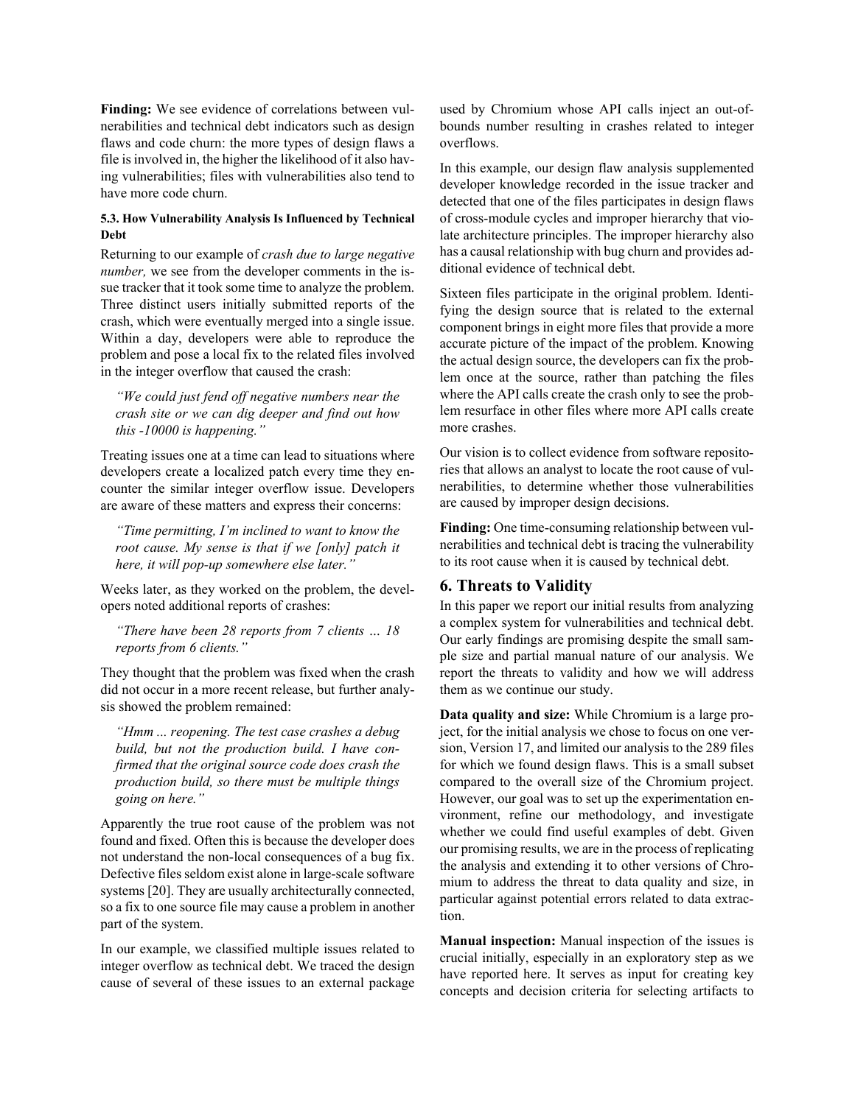**Finding:** We see evidence of correlations between vulnerabilities and technical debt indicators such as design flaws and code churn: the more types of design flaws a file is involved in, the higher the likelihood of it also having vulnerabilities; files with vulnerabilities also tend to have more code churn.

#### **5.3. How Vulnerability Analysis Is Influenced by Technical Debt**

Returning to our example of *crash due to large negative number,* we see from the developer comments in the issue tracker that it took some time to analyze the problem. Three distinct users initially submitted reports of the crash, which were eventually merged into a single issue. Within a day, developers were able to reproduce the problem and pose a local fix to the related files involved in the integer overflow that caused the crash:

*"We could just fend off negative numbers near the crash site or we can dig deeper and find out how this -10000 is happening."*

Treating issues one at a time can lead to situations where developers create a localized patch every time they encounter the similar integer overflow issue. Developers are aware of these matters and express their concerns:

*"Time permitting, I'm inclined to want to know the root cause. My sense is that if we [only] patch it here, it will pop-up somewhere else later."*

Weeks later, as they worked on the problem, the developers noted additional reports of crashes:

*"There have been 28 reports from 7 clients … 18 reports from 6 clients."*

They thought that the problem was fixed when the crash did not occur in a more recent release, but further analysis showed the problem remained:

*"Hmm ... reopening. The test case crashes a debug build, but not the production build. I have confirmed that the original source code does crash the production build, so there must be multiple things going on here."*

Apparently the true root cause of the problem was not found and fixed. Often this is because the developer does not understand the non-local consequences of a bug fix. Defective files seldom exist alone in large-scale software systems [\[20\].](#page-7-3) They are usually architecturally connected, so a fix to one source file may cause a problem in another part of the system.

In our example, we classified multiple issues related to integer overflow as technical debt. We traced the design cause of several of these issues to an external package used by Chromium whose API calls inject an out-ofbounds number resulting in crashes related to integer overflows.

In this example, our design flaw analysis supplemented developer knowledge recorded in the issue tracker and detected that one of the files participates in design flaws of cross-module cycles and improper hierarchy that violate architecture principles. The improper hierarchy also has a causal relationship with bug churn and provides additional evidence of technical debt.

Sixteen files participate in the original problem. Identifying the design source that is related to the external component brings in eight more files that provide a more accurate picture of the impact of the problem. Knowing the actual design source, the developers can fix the problem once at the source, rather than patching the files where the API calls create the crash only to see the problem resurface in other files where more API calls create more crashes.

Our vision is to collect evidence from software repositories that allows an analyst to locate the root cause of vulnerabilities, to determine whether those vulnerabilities are caused by improper design decisions.

**Finding:** One time-consuming relationship between vulnerabilities and technical debt is tracing the vulnerability to its root cause when it is caused by technical debt.

## **6. Threats to Validity**

In this paper we report our initial results from analyzing a complex system for vulnerabilities and technical debt. Our early findings are promising despite the small sample size and partial manual nature of our analysis. We report the threats to validity and how we will address them as we continue our study.

**Data quality and size:** While Chromium is a large project, for the initial analysis we chose to focus on one version, Version 17, and limited our analysis to the 289 files for which we found design flaws. This is a small subset compared to the overall size of the Chromium project. However, our goal was to set up the experimentation environment, refine our methodology, and investigate whether we could find useful examples of debt. Given our promising results, we are in the process of replicating the analysis and extending it to other versions of Chromium to address the threat to data quality and size, in particular against potential errors related to data extraction.

**Manual inspection:** Manual inspection of the issues is crucial initially, especially in an exploratory step as we have reported here. It serves as input for creating key concepts and decision criteria for selecting artifacts to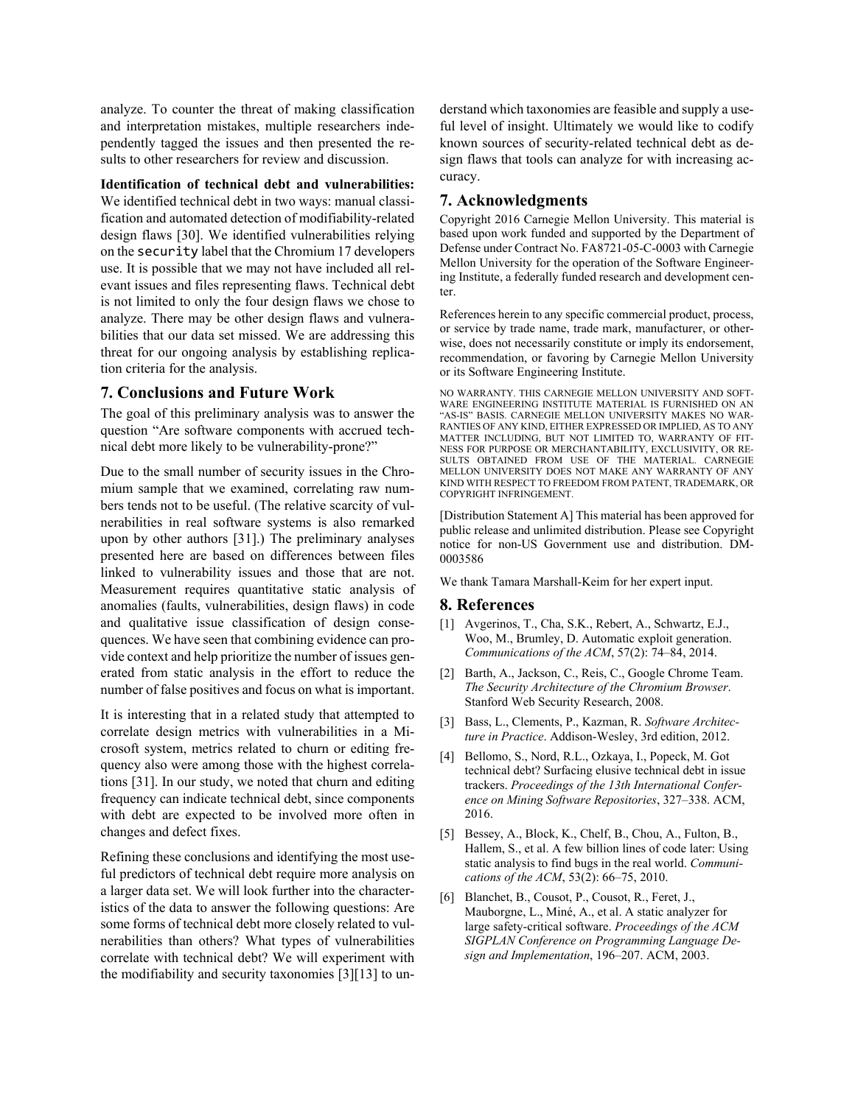analyze. To counter the threat of making classification and interpretation mistakes, multiple researchers independently tagged the issues and then presented the results to other researchers for review and discussion.

### **Identification of technical debt and vulnerabilities:**

We identified technical debt in two ways: manual classification and automated detection of modifiability-related design flaws [\[30\].](#page-7-1) We identified vulnerabilities relying on the security label that the Chromium 17 developers use. It is possible that we may not have included all relevant issues and files representing flaws. Technical debt is not limited to only the four design flaws we chose to analyze. There may be other design flaws and vulnerabilities that our data set missed. We are addressing this threat for our ongoing analysis by establishing replication criteria for the analysis.

#### **7. Conclusions and Future Work**

The goal of this preliminary analysis was to answer the question "Are software components with accrued technical debt more likely to be vulnerability-prone?"

Due to the small number of security issues in the Chromium sample that we examined, correlating raw numbers tends not to be useful. (The relative scarcity of vulnerabilities in real software systems is also remarked upon by other authors [31].) The preliminary analyses presented here are based on differences between files linked to vulnerability issues and those that are not. Measurement requires quantitative static analysis of anomalies (faults, vulnerabilities, design flaws) in code and qualitative issue classification of design consequences. We have seen that combining evidence can provide context and help prioritize the number of issues generated from static analysis in the effort to reduce the number of false positives and focus on what is important.

It is interesting that in a related study that attempted to correlate design metrics with vulnerabilities in a Microsoft system, metrics related to churn or editing frequency also were among those with the highest correlations [\[31\].](#page-7-11) In our study, we noted that churn and editing frequency can indicate technical debt, since components with debt are expected to be involved more often in changes and defect fixes.

Refining these conclusions and identifying the most useful predictors of technical debt require more analysis on a larger data set. We will look further into the characteristics of the data to answer the following questions: Are some forms of technical debt more closely related to vulnerabilities than others? What types of vulnerabilities correlate with technical debt? We will experiment with the modifiability and security taxonomies [\[3\]\[13\]](#page-6-3) to understand which taxonomies are feasible and supply a useful level of insight. Ultimately we would like to codify known sources of security-related technical debt as design flaws that tools can analyze for with increasing accuracy.

### **7. Acknowledgments**

Copyright 2016 Carnegie Mellon University. This material is based upon work funded and supported by the Department of Defense under Contract No. FA8721-05-C-0003 with Carnegie Mellon University for the operation of the Software Engineering Institute, a federally funded research and development center.

References herein to any specific commercial product, process, or service by trade name, trade mark, manufacturer, or otherwise, does not necessarily constitute or imply its endorsement, recommendation, or favoring by Carnegie Mellon University or its Software Engineering Institute.

NO WARRANTY. THIS CARNEGIE MELLON UNIVERSITY AND SOFT-WARE ENGINEERING INSTITUTE MATERIAL IS FURNISHED ON AN "AS-IS" BASIS. CARNEGIE MELLON UNIVERSITY MAKES NO WAR-RANTIES OF ANY KIND, EITHER EXPRESSED OR IMPLIED, AS TO ANY MATTER INCLUDING, BUT NOT LIMITED TO, WARRANTY OF FIT-NESS FOR PURPOSE OR MERCHANTABILITY, EXCLUSIVITY, OR RE-SULTS OBTAINED FROM USE OF THE MATERIAL. CARNEGIE MELLON UNIVERSITY DOES NOT MAKE ANY WARRANTY OF ANY KIND WITH RESPECT TO FREEDOM FROM PATENT, TRADEMARK, OR COPYRIGHT INFRINGEMENT.

[Distribution Statement A] This material has been approved for public release and unlimited distribution. Please see Copyright notice for non-US Government use and distribution. DM-0003586

We thank Tamara Marshall-Keim for her expert input.

#### **8. References**

- <span id="page-6-0"></span>[1] Avgerinos, T., Cha, S.K., Rebert, A., Schwartz, E.J., Woo, M., Brumley, D. Automatic exploit generation. *Communications of the ACM*, 57(2): 74–84, 2014.
- <span id="page-6-2"></span>[2] Barth, A., Jackson, C., Reis, C., Google Chrome Team. *The Security Architecture of the Chromium Browser*. Stanford Web Security Research, 2008.
- <span id="page-6-3"></span>[3] Bass, L., Clements, P., Kazman, R. *Software Architecture in Practice*. Addison-Wesley, 3rd edition, 2012.
- [4] Bellomo, S., Nord, R.L., Ozkaya, I., Popeck, M. Got technical debt? Surfacing elusive technical debt in issue trackers. *Proceedings of the 13th International Conference on Mining Software Repositories*, 327–338. ACM, 2016.
- [5] Bessey, A., Block, K., Chelf, B., Chou, A., Fulton, B., Hallem, S., et al. A few billion lines of code later: Using static analysis to find bugs in the real world. *Communications of the ACM*, 53(2): 66–75, 2010.
- <span id="page-6-1"></span>[6] Blanchet, B., Cousot, P., Cousot, R., Feret, J., Mauborgne, L., Miné, A., et al. A static analyzer for large safety-critical software. *Proceedings of the ACM SIGPLAN Conference on Programming Language Design and Implementation*, 196–207. ACM, 2003.